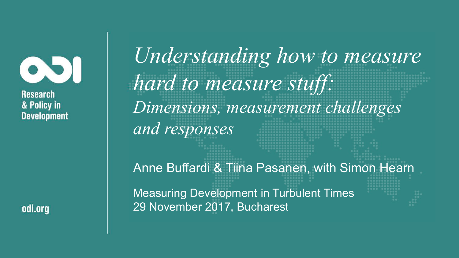

**Research** & Policy in **Development** 

odi.org

*Understanding how to measure hard to measure stuff: Dimensions, measurement challenges and responses*

Anne Buffardi & Tiina Pasanen, with Simon Hearn

Measuring Development in Turbulent Times 29 November 2017, Bucharest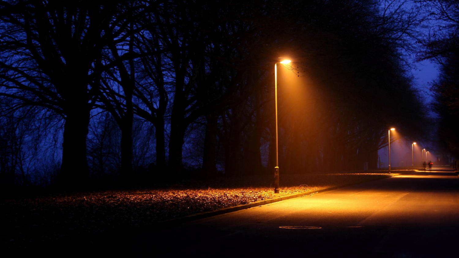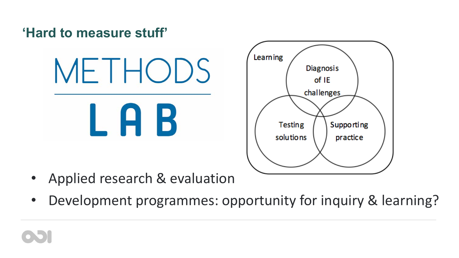

• Development programmes: opportunity for inquiry & learning?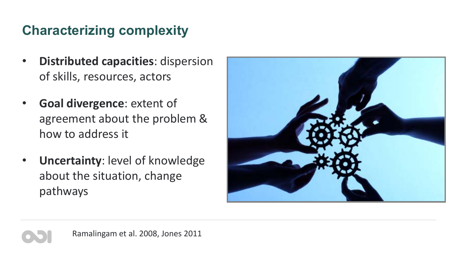#### **Characterizing complexity**

- **Distributed capacities**: dispersion of skills, resources, actors
- **Goal divergence**: extent of agreement about the problem & how to address it
- **Uncertainty**: level of knowledge about the situation, change pathways



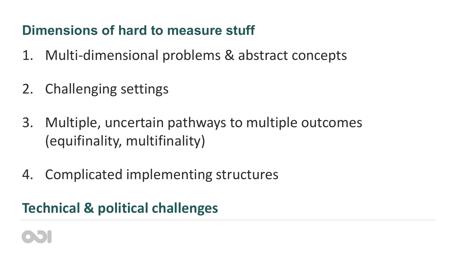#### **Dimensions of hard to measure stuff**

- 1. Multi-dimensional problems & abstract concepts
- 2. Challenging settings
- 3. Multiple, uncertain pathways to multiple outcomes (equifinality, multifinality)
- 4. Complicated implementing structures

**Technical & political challenges**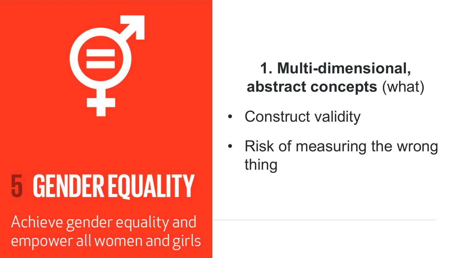# **5 GENDER EQUALITY**

Achieve gender equality and empower all women and girls

## **1. Multi-dimensional, abstract concepts** (what)

- Construct validity
- Risk of measuring the wrong thing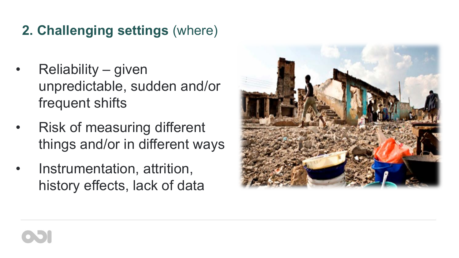### **2. Challenging settings** (where)

- Reliability given unpredictable, sudden and/or frequent shifts
- Risk of measuring different things and/or in different ways
- Instrumentation, attrition, history effects, lack of data

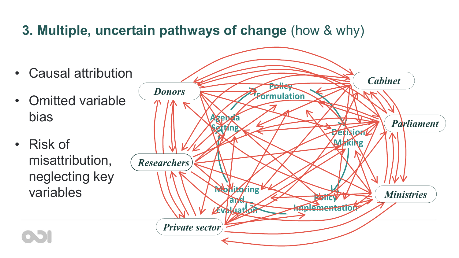#### **3. Multiple, uncertain pathways of change** (how & why)

- Causal attribution
- Omitted variable bias
- Risk of misattribution, neglecting key variables

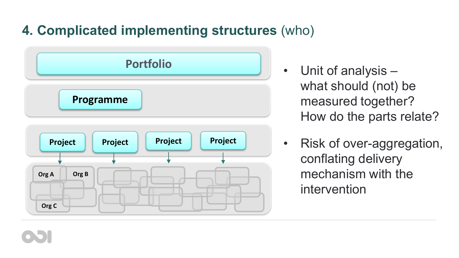#### **4. Complicated implementing structures** (who)



- Unit of analysis what should (not) be measured together? How do the parts relate?
- Risk of over-aggregation, conflating delivery mechanism with the intervention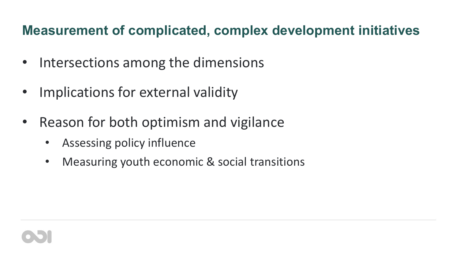#### **Measurement of complicated, complex development initiatives**

- Intersections among the dimensions
- Implications for external validity
- Reason for both optimism and vigilance
	- Assessing policy influence
	- Measuring youth economic & social transitions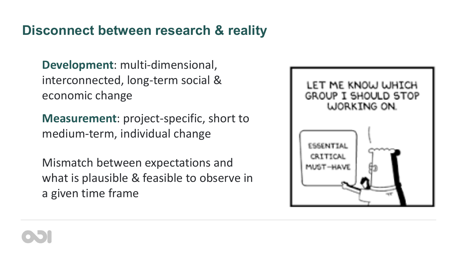#### **Disconnect between research & reality**

**Development**: multi-dimensional, interconnected, long-term social & economic change

**Measurement**: project-specific, short to medium-term, individual change

Mismatch between expectations and what is plausible & feasible to observe in a given time frame

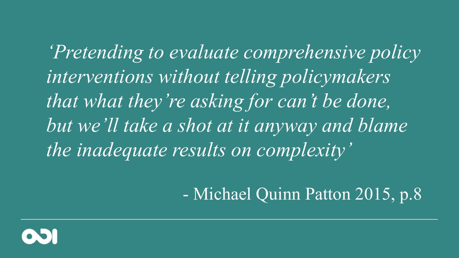*'Pretending to evaluate comprehensive policy interventions without telling policymakers that what they're asking for can't be done, but we'll take a shot at it anyway and blame the inadequate results on complexity'*

- Michael Quinn Patton 2015, p.8